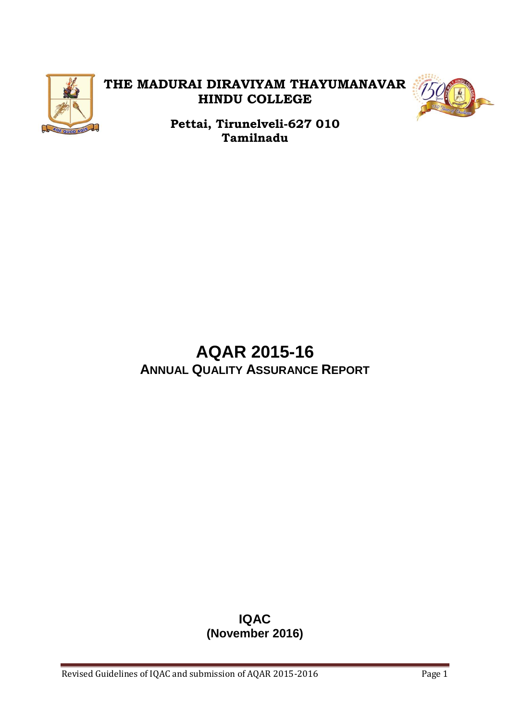

# **THE MADURAI DIRAVIYAM THAYUMANAVAR HINDU COLLEGE**



**Pettai, Tirunelveli-627 010 Tamilnadu**

# **AQAR 2015-16 ANNUAL QUALITY ASSURANCE REPORT**

# **IQAC (November 2016)**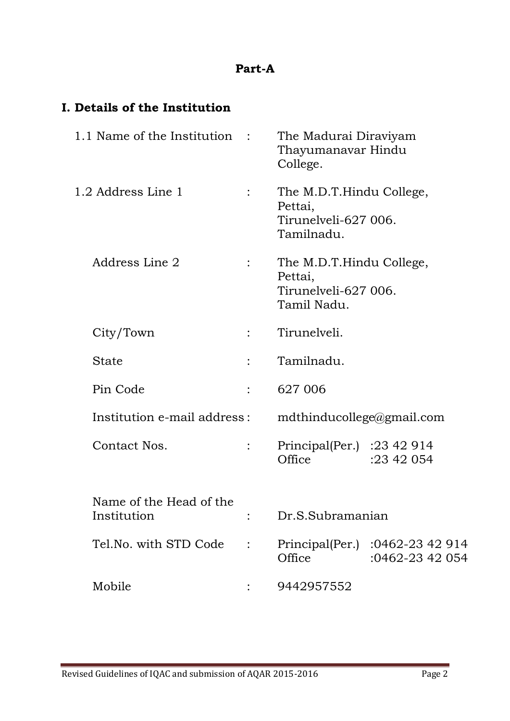# **Part-A**

# **I. Details of the Institution**

| 1.1 Name of the Institution :          |                | The Madurai Diraviyam<br>Thayumanavar Hindu<br>College.                    |                                                    |
|----------------------------------------|----------------|----------------------------------------------------------------------------|----------------------------------------------------|
| 1.2 Address Line 1                     | $\ddot{\cdot}$ | The M.D.T.Hindu College,<br>Pettai,<br>Tirunelveli-627 006.<br>Tamilnadu.  |                                                    |
| Address Line 2                         |                | The M.D.T.Hindu College,<br>Pettai,<br>Tirunelyeli-627 006.<br>Tamil Nadu. |                                                    |
| City/Town                              |                | Tirunelveli.                                                               |                                                    |
| State                                  |                | Tamilnadu.                                                                 |                                                    |
| Pin Code                               |                | 627 006                                                                    |                                                    |
| Institution e-mail address:            |                | $mdt$ hinducollege@gmail.com                                               |                                                    |
| Contact Nos.                           | $\ddot{\cdot}$ | Principal(Per.) : $23\,42\,914$<br>Office                                  | :23 42 054                                         |
| Name of the Head of the<br>Institution |                | Dr.S.Subramanian                                                           |                                                    |
| Tel.No. with STD Code                  |                | Office                                                                     | Principal(Per.) :0462-23 42 914<br>:0462-23 42 054 |
| Mobile                                 |                | 9442957552                                                                 |                                                    |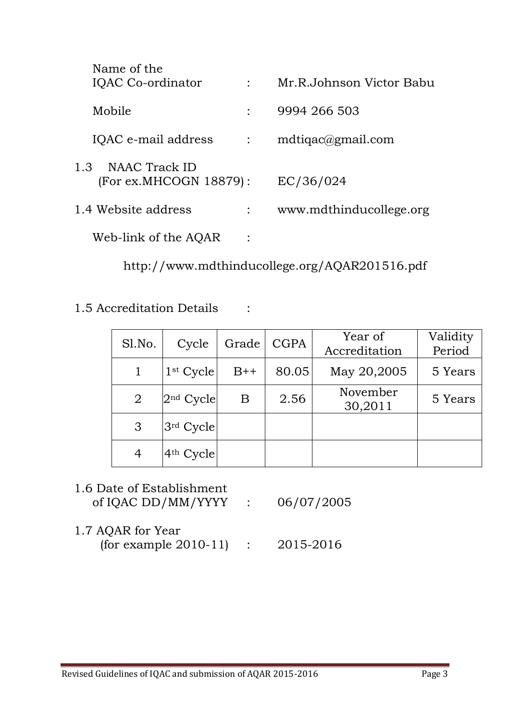| Name of the<br>IQAC Co-ordinator               |                | Mr.R.Johnson Victor Babu |
|------------------------------------------------|----------------|--------------------------|
| Mobile                                         |                | 9994 266 503             |
| IQAC e-mail address                            | $\ddot{\cdot}$ | mdtigac@gmail.com        |
| NAAC Track ID<br>1.3<br>(For ex.MHCOGN 18879): |                | EC/36/024                |
| 1.4 Website address                            |                | www.mdthinducollege.org  |
| Web-link of the AQAR                           |                |                          |

http://www.mdthinducollege.org/AQAR201516.pdf

1.5 Accreditation Details :

| Sl.No.         | Cycle       | Grade | <b>CGPA</b> | Year of<br>Accreditation | Validity<br>Period |
|----------------|-------------|-------|-------------|--------------------------|--------------------|
|                | $1st$ Cycle | $B++$ | 80.05       | May 20,2005              | 5 Years            |
| $\overline{2}$ | $2nd$ Cycle | B     | 2.56        | November<br>30,2011      | 5 Years            |
| 3              | $3rd$ Cycle |       |             |                          |                    |
| 4              | $4th$ Cycle |       |             |                          |                    |

# 1.6 Date of Establishment of IQAC DD/MM/YYYY : 06/07/2005

1.7 AQAR for Year (for example 2010-11) : 2015-2016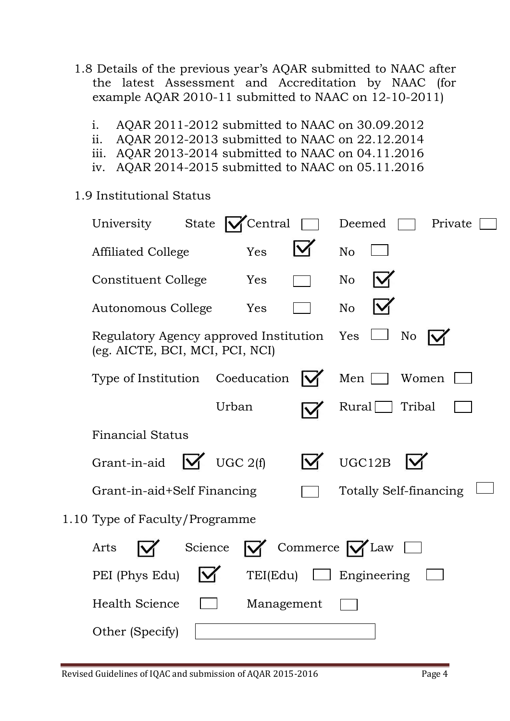- 1.8 Details of the previous year's AQAR submitted to NAAC after the latest Assessment and Accreditation by NAAC (for example AQAR 2010-11 submitted to NAAC on 12-10-2011)
	- i. AQAR 2011-2012 submitted to NAAC on 30.09.2012
	- ii. AQAR 2012-2013 submitted to NAAC on 22.12.2014
	- iii. AQAR 2013-2014 submitted to NAAC on 04.11.2016
	- iv. AQAR 2014-2015 submitted to NAAC on 05.11.2016
- 1.9 Institutional Status

| University<br>State                                                       | Central            | Deemed<br>Private                            |
|---------------------------------------------------------------------------|--------------------|----------------------------------------------|
| <b>Affiliated College</b>                                                 | Yes                | <b>No</b>                                    |
| Constituent College                                                       | Yes                | N <sub>o</sub>                               |
| Autonomous College                                                        | Yes                | N <sub>o</sub>                               |
| Regulatory Agency approved Institution<br>(eg. AICTE, BCI, MCI, PCI, NCI) |                    | Yes<br>N <sub>o</sub>                        |
| Type of Institution Coeducation                                           |                    | Men<br>Women                                 |
|                                                                           | Urban              | Tribal<br>Rural                              |
| <b>Financial Status</b>                                                   |                    |                                              |
| Grant-in-aid                                                              | $\bigvee$ UGC 2(f) | UGC12B                                       |
| Grant-in-aid+Self Financing                                               |                    | <b>Totally Self-financing</b>                |
| 1.10 Type of Faculty/Programme                                            |                    |                                              |
| Arts                                                                      | Science            | $\triangledown$ Commerce $\triangledown$ Law |
| PEI (Phys Edu)                                                            | TEI(Edu)           | $\Box$ Engineering                           |
| <b>Health Science</b>                                                     | Management         |                                              |
| Other (Specify)                                                           |                    |                                              |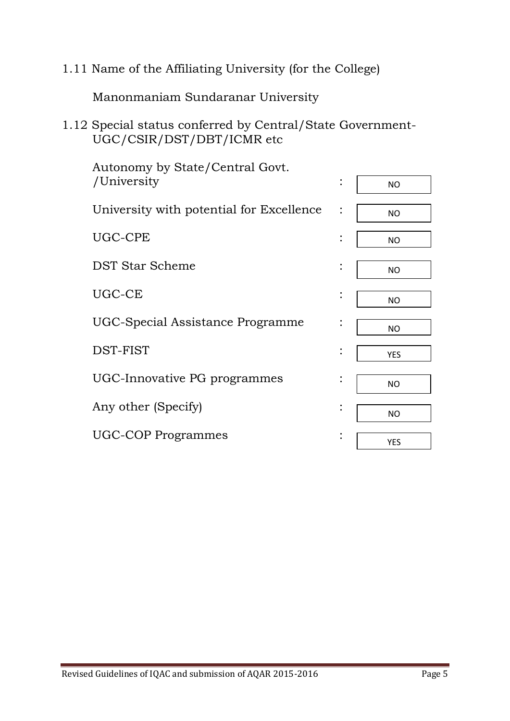1.11 Name of the Affiliating University (for the College)

Manonmaniam Sundaranar University

1.12 Special status conferred by Central/State Government-UGC/CSIR/DST/DBT/ICMR etc

| Autonomy by State/Central Govt.          |                |            |
|------------------------------------------|----------------|------------|
| /University                              | $\ddot{\cdot}$ | <b>NO</b>  |
| University with potential for Excellence |                | <b>NO</b>  |
| UGC-CPE                                  | $\ddot{\cdot}$ | <b>NO</b>  |
| DST Star Scheme                          | $\bullet$      | <b>NO</b>  |
| UGC-CE                                   |                | <b>NO</b>  |
| UGC-Special Assistance Programme         |                | <b>NO</b>  |
| DST-FIST                                 |                | <b>YES</b> |
| UGC-Innovative PG programmes             |                | <b>NO</b>  |
| Any other (Specify)                      | $\bullet$      | <b>NO</b>  |
| <b>UGC-COP Programmes</b>                | $\bullet$      | <b>YES</b> |
|                                          |                |            |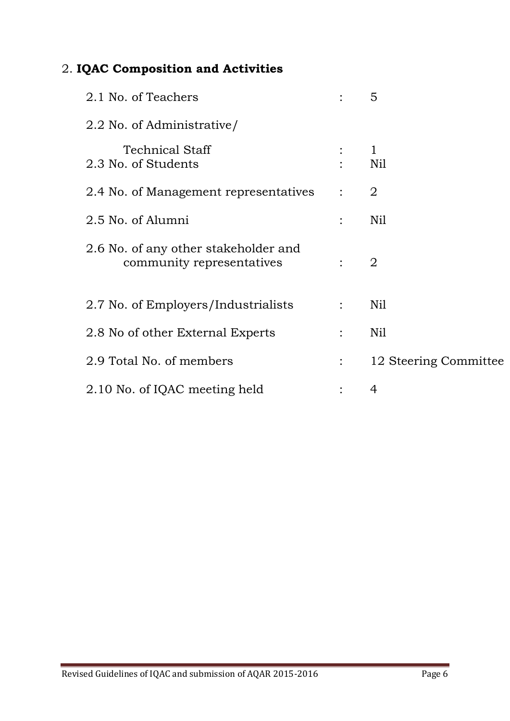# 2. **IQAC Composition and Activities**

| 2.1 No. of Teachers                                               |                | 5                     |
|-------------------------------------------------------------------|----------------|-----------------------|
| 2.2 No. of Administrative/                                        |                |                       |
| <b>Technical Staff</b><br>2.3 No. of Students                     |                | $\mathbf 1$<br>Nil    |
| 2.4 No. of Management representatives                             | $\ddot{\cdot}$ | 2                     |
| 2.5 No. of Alumni                                                 |                | Nil                   |
| 2.6 No. of any other stakeholder and<br>community representatives |                | $\overline{2}$        |
| 2.7 No. of Employers/Industrialists                               | $\ddot{\cdot}$ | Nil                   |
| 2.8 No of other External Experts                                  |                | Nil                   |
| 2.9 Total No. of members                                          |                | 12 Steering Committee |
| 2.10 No. of IQAC meeting held                                     |                | 4                     |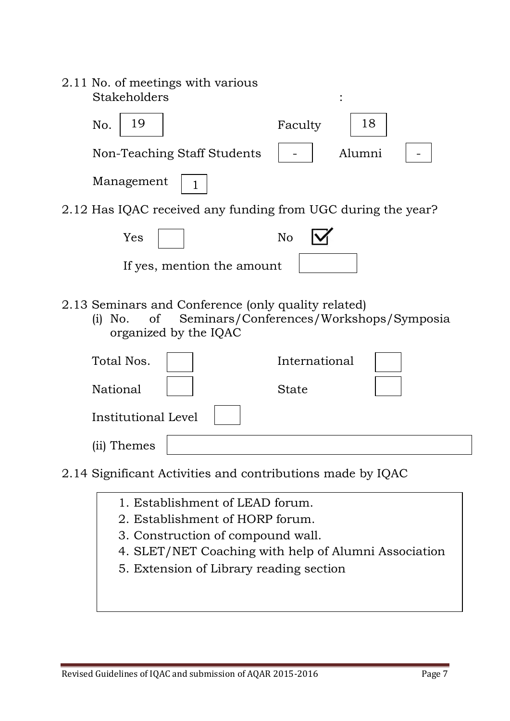| 2.11 No. of meetings with various<br>Stakeholders                                                                                                                                              |                                         |
|------------------------------------------------------------------------------------------------------------------------------------------------------------------------------------------------|-----------------------------------------|
| 19<br>No.                                                                                                                                                                                      | 18<br>Faculty                           |
| Non-Teaching Staff Students                                                                                                                                                                    | Alumni                                  |
| Management<br>1                                                                                                                                                                                |                                         |
| 2.12 Has IQAC received any funding from UGC during the year?                                                                                                                                   |                                         |
| Yes                                                                                                                                                                                            | N <sub>o</sub>                          |
| If yes, mention the amount                                                                                                                                                                     |                                         |
| 2.13 Seminars and Conference (only quality related)<br><sub>of</sub><br>No.<br>(i)<br>organized by the IQAC                                                                                    | Seminars/Conferences/Workshops/Symposia |
| Total Nos.                                                                                                                                                                                     | International                           |
| National                                                                                                                                                                                       | <b>State</b>                            |
| <b>Institutional Level</b>                                                                                                                                                                     |                                         |
| (ii) Themes                                                                                                                                                                                    |                                         |
| $\mathbf{1}^{\mathsf{a}}$ . The state is the state of $\mathbf{1}$ is the state of $\mathbf{1}$ in $\mathbf{1}$ in $\mathbf{1}$ in $\mathbf{1}$<br>$\bigcap$ 1 $\bigcap$ $\bigcap$ $\bigcap$ 1 |                                         |

- 2.14 Significant Activities and contributions made by IQAC
	- 1. Establishment of LEAD forum.
	- 2. Establishment of HORP forum.
	- 3. Construction of compound wall.
	- 4. SLET/NET Coaching with help of Alumni Association
	- 5. Extension of Library reading section

71<br>711 - Paul Barnett, amerikansk matematik<br>711 - Paul Barnett, amerikansk matematik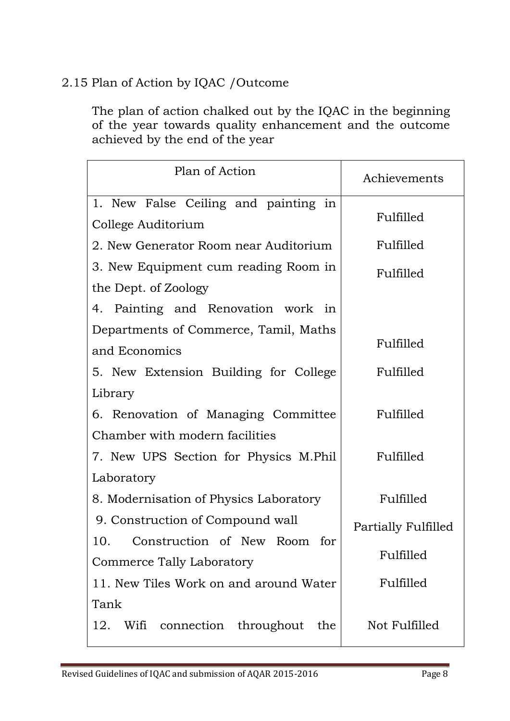# 2.15 Plan of Action by IQAC /Outcome

The plan of action chalked out by the IQAC in the beginning of the year towards quality enhancement and the outcome achieved by the end of the year

| Plan of Action                           | Achievements        |
|------------------------------------------|---------------------|
| 1. New False Ceiling and painting in     |                     |
| College Auditorium                       | Fulfilled           |
| 2. New Generator Room near Auditorium    | Fulfilled           |
| 3. New Equipment cum reading Room in     | Fulfilled           |
| the Dept. of Zoology                     |                     |
| 4. Painting and Renovation work in       |                     |
| Departments of Commerce, Tamil, Maths    |                     |
| and Economics                            | Fulfilled           |
| 5. New Extension Building for College    | Fulfilled           |
| Library                                  |                     |
| 6. Renovation of Managing Committee      | Fulfilled           |
| Chamber with modern facilities           |                     |
| 7. New UPS Section for Physics M.Phil    | Fulfilled           |
| Laboratory                               |                     |
| 8. Modernisation of Physics Laboratory   | Fulfilled           |
| 9. Construction of Compound wall         | Partially Fulfilled |
| 10. Construction of New Room for         |                     |
| Commerce Tally Laboratory                | Fulfilled           |
| 11. New Tiles Work on and around Water   | Fulfilled           |
| Tank                                     |                     |
| 12.<br>Wifi connection throughout<br>the | Not Fulfilled       |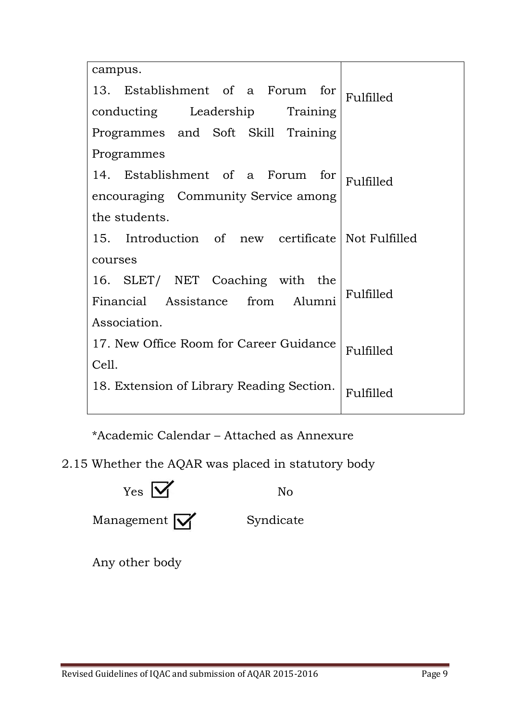| campus.                                           |           |  |  |  |
|---------------------------------------------------|-----------|--|--|--|
| 13. Establishment of a Forum for                  | Fulfilled |  |  |  |
| conducting Leadership Training                    |           |  |  |  |
| Programmes and Soft Skill Training                |           |  |  |  |
| Programmes                                        |           |  |  |  |
| 14. Establishment of a Forum for                  | Fulfilled |  |  |  |
| encouraging Community Service among               |           |  |  |  |
| the students.                                     |           |  |  |  |
| 15. Introduction of new certificate Not Fulfilled |           |  |  |  |
| courses                                           |           |  |  |  |
| 16. SLET/ NET Coaching with the                   |           |  |  |  |
| Financial Assistance from Alumni                  | Fulfilled |  |  |  |
| Association.                                      |           |  |  |  |
| 17. New Office Room for Career Guidance           | Fulfilled |  |  |  |
| Cell.                                             |           |  |  |  |
| 18. Extension of Library Reading Section.         | Fulfilled |  |  |  |

\*Academic Calendar – Attached as Annexure

2.15 Whether the AQAR was placed in statutory body



Any other body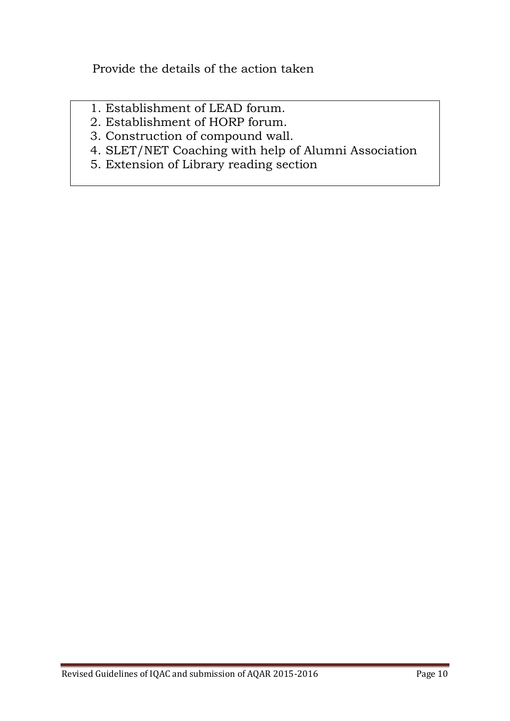Provide the details of the action taken

- 1. Establishment of LEAD forum.
- 2. Establishment of HORP forum.
- 3. Construction of compound wall.
- 4. SLET/NET Coaching with help of Alumni Association
- 5. Extension of Library reading section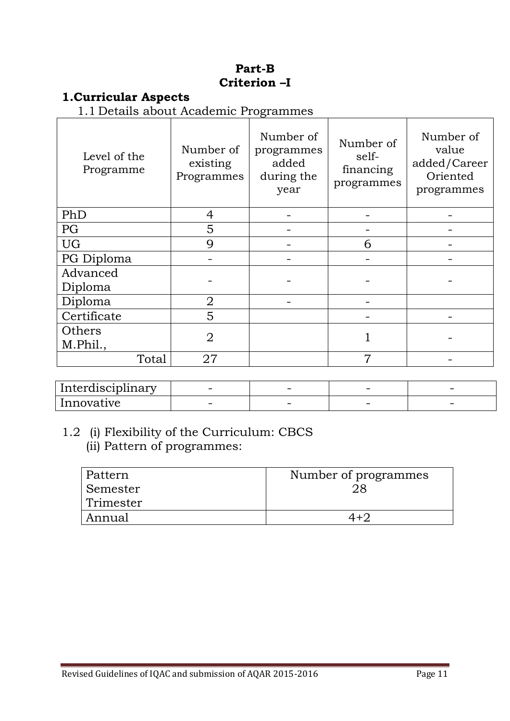#### **Part-B Criterion –I**

# **1.Curricular Aspects**

1.1 Details about Academic Programmes

| Level of the<br>Programme | Number of<br>existing<br>Programmes | Number of<br>programmes<br>added<br>during the<br>year | Number of<br>self-<br>financing<br>programmes | Number of<br>value<br>added/Career<br>Oriented<br>programmes |
|---------------------------|-------------------------------------|--------------------------------------------------------|-----------------------------------------------|--------------------------------------------------------------|
| PhD                       | 4                                   |                                                        |                                               |                                                              |
| PG                        | 5                                   |                                                        |                                               |                                                              |
| <b>UG</b>                 | $\mathbf Q$                         |                                                        | 6                                             |                                                              |
| PG Diploma                |                                     |                                                        |                                               |                                                              |
| Advanced<br>Diploma       |                                     |                                                        |                                               |                                                              |
| Diploma                   | $\overline{2}$                      |                                                        |                                               |                                                              |
| Certificate               | 5                                   |                                                        |                                               |                                                              |
| Others                    | $\overline{2}$                      |                                                        |                                               |                                                              |
| M.Phil.,                  |                                     |                                                        |                                               |                                                              |
| Total                     | 27                                  |                                                        | 7                                             |                                                              |

| . .<br>Interdisciplinary | $\overline{\phantom{0}}$ | $\overline{\phantom{a}}$ | $\overline{\phantom{0}}$ |  |
|--------------------------|--------------------------|--------------------------|--------------------------|--|
| Innovative               | $\overline{\phantom{a}}$ | $\overline{\phantom{a}}$ |                          |  |

# 1.2 (i) Flexibility of the Curriculum: CBCS (ii) Pattern of programmes:

| Pattern               | Number of programmes |
|-----------------------|----------------------|
| <sub>I</sub> Semester |                      |
| Trimester             |                      |
| Annual                | $4 + 2$              |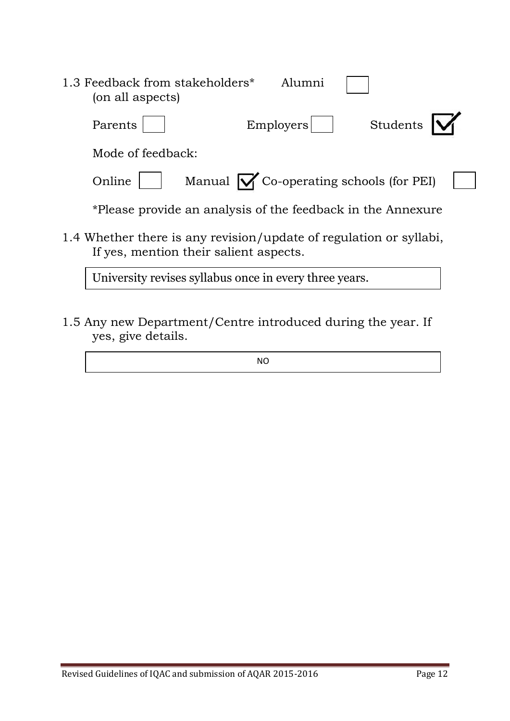| 1.3 Feedback from stakeholders*<br>Alumni<br>(on all aspects)                                                |  |
|--------------------------------------------------------------------------------------------------------------|--|
| Students<br>Emplovers<br>Parents                                                                             |  |
| Mode of feedback:                                                                                            |  |
| Manual $\sqrt{\ }$ Co-operating schools (for PEI)<br>Online                                                  |  |
| *Please provide an analysis of the feedback in the Annexure                                                  |  |
| 1.4 Whether there is any revision/update of regulation or syllabi,<br>If yes, mention their salient aspects. |  |
| University revises syllabus once in every three years.                                                       |  |

1.5 Any new Department/Centre introduced during the year. If yes, give details.

NO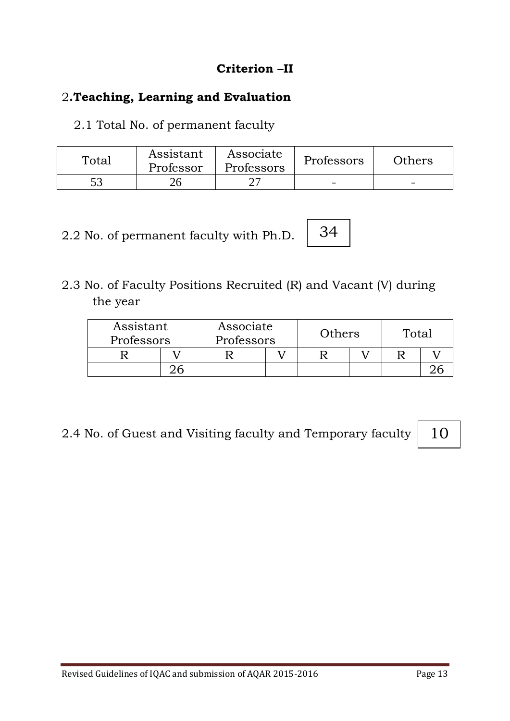# **Criterion –II**

# 2**.Teaching, Learning and Evaluation**

2.1 Total No. of permanent faculty

| Total | Assistant<br>Professor | Associate<br>Professors | Professors | Others |
|-------|------------------------|-------------------------|------------|--------|
|       |                        |                         | -          | -      |

2.2 No. of permanent faculty with Ph.D.

2.3 No. of Faculty Positions Recruited (R) and Vacant (V) during the year

|  | Associate<br>Professors |  | Assistant<br>Others<br>Professors |  | Total |  |
|--|-------------------------|--|-----------------------------------|--|-------|--|
|  |                         |  |                                   |  |       |  |
|  |                         |  |                                   |  |       |  |

34

2.4 No. of Guest and Visiting faculty and Temporary faculty

10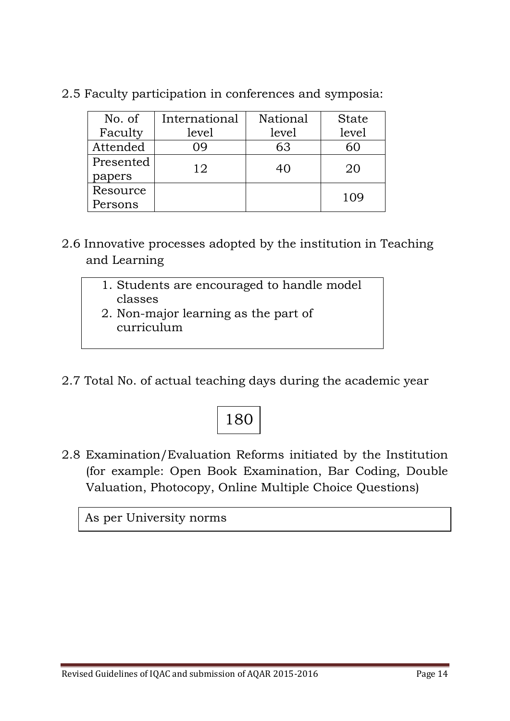| No. of    | International | National | <b>State</b> |
|-----------|---------------|----------|--------------|
| Faculty   | level         | level    | level        |
| Attended  | 09            | 63       | 60           |
| Presented | 12            | 40       | 20           |
| papers    |               |          |              |
| Resource  |               |          | 109          |
| Persons   |               |          |              |

2.5 Faculty participation in conferences and symposia:

- 2.6 Innovative processes adopted by the institution in Teaching and Learning
	- 1. Students are encouraged to handle model classes
	- 2. Non-major learning as the part of curriculum
- 2.7 Total No. of actual teaching days during the academic year

# 180

2.8 Examination/Evaluation Reforms initiated by the Institution (for example: Open Book Examination, Bar Coding, Double Valuation, Photocopy, Online Multiple Choice Questions)

As per University norms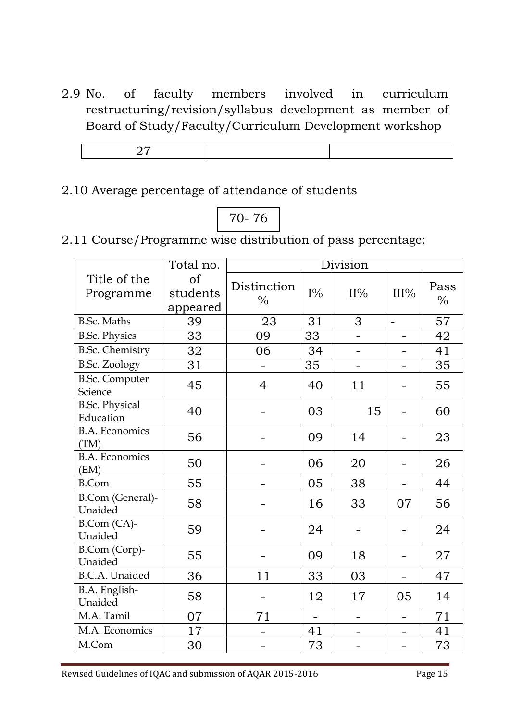2.9 No. of faculty members involved in curriculum restructuring/revision/syllabus development as member of Board of Study/Faculty/Curriculum Development workshop

# 2.10 Average percentage of attendance of students

# 70- 76

2.11 Course/Programme wise distribution of pass percentage:

|                                    | Total no.                  | Division                     |                   |                          |                          |                       |
|------------------------------------|----------------------------|------------------------------|-------------------|--------------------------|--------------------------|-----------------------|
| Title of the<br>Programme          | of<br>students<br>appeared | Distinction<br>$\frac{0}{0}$ | $I\%$             | $II\%$                   | III%                     | Pass<br>$\frac{0}{0}$ |
| <b>B.Sc. Maths</b>                 | 39                         | 23                           | 31                | 3                        | $\overline{a}$           | 57                    |
| <b>B.Sc. Physics</b>               | 33                         | 09                           | 33                |                          |                          | 42                    |
| <b>B.Sc. Chemistry</b>             | 32                         | 06                           | 34                |                          |                          | 41                    |
| <b>B.Sc. Zoology</b>               | 31                         |                              | 35                | $\overline{\phantom{0}}$ |                          | 35                    |
| <b>B.Sc. Computer</b><br>Science   | 45                         | $\overline{4}$               | 40                | 11                       |                          | 55                    |
| <b>B.Sc. Physical</b><br>Education | 40                         |                              | 03                | 15                       |                          | 60                    |
| <b>B.A. Economics</b><br>(TM)      | 56                         |                              | 09                | 14                       |                          | 23                    |
| <b>B.A. Economics</b><br>(EM)      | 50                         |                              | 06                | 20                       |                          | 26                    |
| <b>B.Com</b>                       | 55                         |                              | 05                | 38                       | $\equiv$                 | 44                    |
| B.Com (General)-<br>Unaided        | 58                         |                              | 16                | 33                       | 07                       | 56                    |
| B.Com (CA)-<br>Unaided             | 59                         |                              | 24                |                          |                          | 24                    |
| B.Com (Corp)-<br>Unaided           | 55                         |                              | 09                | 18                       |                          | 27                    |
| <b>B.C.A.</b> Unaided              | 36                         | 11                           | 33                | 03                       |                          | 47                    |
| B.A. English-<br>Unaided           | 58                         |                              | 12                | 17                       | 05                       | 14                    |
| M.A. Tamil                         | 07                         | 71                           | $\qquad \qquad -$ | $\overline{\phantom{0}}$ | $\overline{\phantom{0}}$ | 71                    |
| M.A. Economics                     | 17                         |                              | 41                | $\overline{\phantom{0}}$ | $\overline{\phantom{0}}$ | 41                    |
| M.Com                              | 30                         |                              | 73                |                          |                          | 73                    |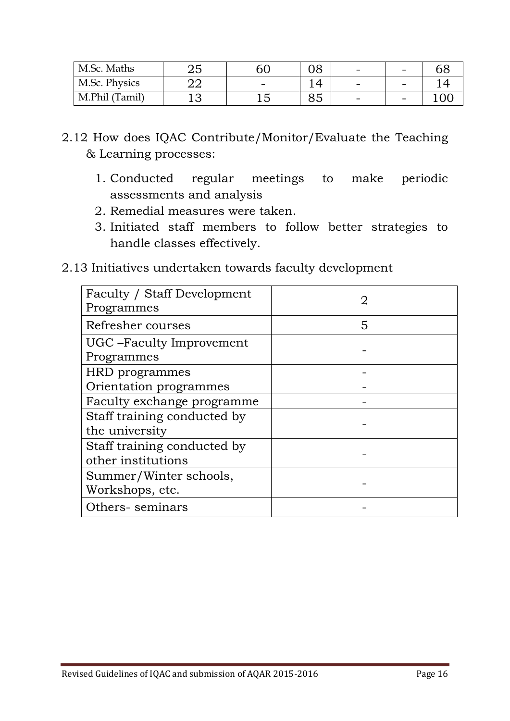| M.Sc. Maths    | ∠⊾ |                          | 08       | $\overline{\phantom{a}}$ | -                        |  |
|----------------|----|--------------------------|----------|--------------------------|--------------------------|--|
| M.Sc. Physics  | ≃  | $\overline{\phantom{0}}$ |          | $\overline{\phantom{0}}$ | $\overline{\phantom{0}}$ |  |
| M.Phil (Tamil) | ັ  |                          | QΓ<br>0J | $\overline{\phantom{0}}$ | $\overline{\phantom{0}}$ |  |

- 2.12 How does IQAC Contribute/Monitor/Evaluate the Teaching & Learning processes:
	- 1. Conducted regular meetings to make periodic assessments and analysis
	- 2. Remedial measures were taken.
	- 3. Initiated staff members to follow better strategies to handle classes effectively.
- 2.13 Initiatives undertaken towards faculty development

| Faculty / Staff Development<br>Programmes         | 2 |
|---------------------------------------------------|---|
| Refresher courses                                 | 5 |
| UGC – Faculty Improvement<br>Programmes           |   |
| HRD programmes                                    |   |
| Orientation programmes                            |   |
| Faculty exchange programme                        |   |
| Staff training conducted by<br>the university     |   |
| Staff training conducted by<br>other institutions |   |
| Summer/Winter schools,<br>Workshops, etc.         |   |
| Others-seminars                                   |   |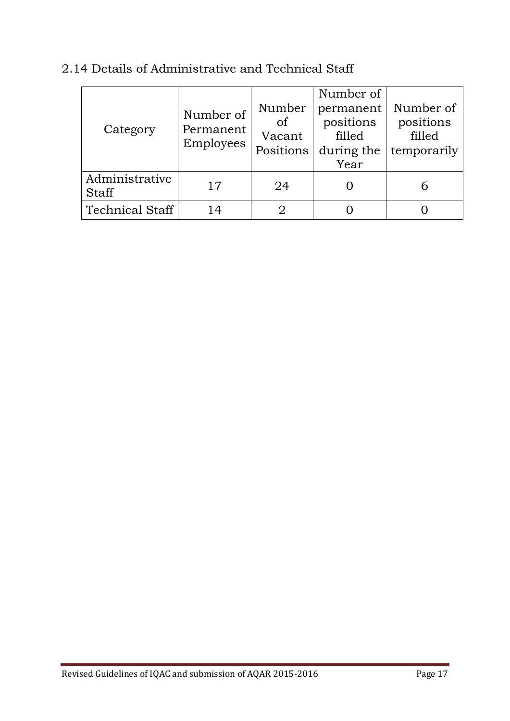| Category                       | Number of<br>Permanent<br>Employees | Number<br>of<br>Vacant<br>Positions | Number of<br>permanent<br>positions<br>filled<br>during the<br>Year | Number of<br>positions<br>filled<br>temporarily |
|--------------------------------|-------------------------------------|-------------------------------------|---------------------------------------------------------------------|-------------------------------------------------|
| Administrative<br><b>Staff</b> | 17                                  | 24                                  |                                                                     |                                                 |
| <b>Technical Staff</b>         | 14                                  |                                     |                                                                     |                                                 |

# 2.14 Details of Administrative and Technical Staff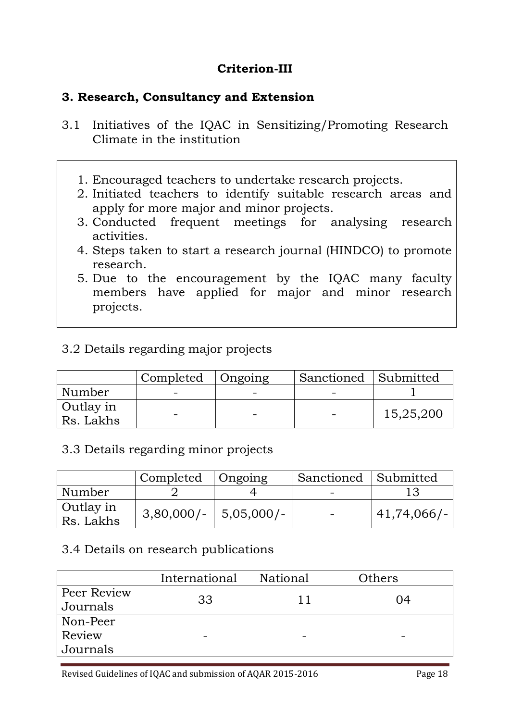# **Criterion-III**

# **3. Research, Consultancy and Extension**

- 3.1 Initiatives of the IQAC in Sensitizing/Promoting Research Climate in the institution
	- 1. Encouraged teachers to undertake research projects.
	- 2. Initiated teachers to identify suitable research areas and apply for more major and minor projects.
	- 3. Conducted frequent meetings for analysing research activities.
	- 4. Steps taken to start a research journal (HINDCO) to promote research.
	- 5. Due to the encouragement by the IQAC many faculty members have applied for major and minor research projects.

# 3.2 Details regarding major projects

|                        | Completed | Ongoing | Sanctioned Submitted |           |
|------------------------|-----------|---------|----------------------|-----------|
| Number                 |           |         |                      |           |
| Outlay in<br>Rs. Lakhs | -         |         |                      | 15,25,200 |

#### 3.3 Details regarding minor projects

|                          | Completed   Ongoing       | Sanctioned Submitted |             |
|--------------------------|---------------------------|----------------------|-------------|
| Number                   |                           |                      |             |
| Outlay in<br>  Rs. Lakhs | $3,80,000/ - 5,05,000/ -$ | $\sim$ $\sim$        | 41,74,066/- |

#### 3.4 Details on research publications

|             | International | National | Others |
|-------------|---------------|----------|--------|
| Peer Review | 33            | $\Box$   | 04     |
| Journals    |               |          |        |
| Non-Peer    |               |          |        |
| Review      |               |          |        |
| Journals    |               |          |        |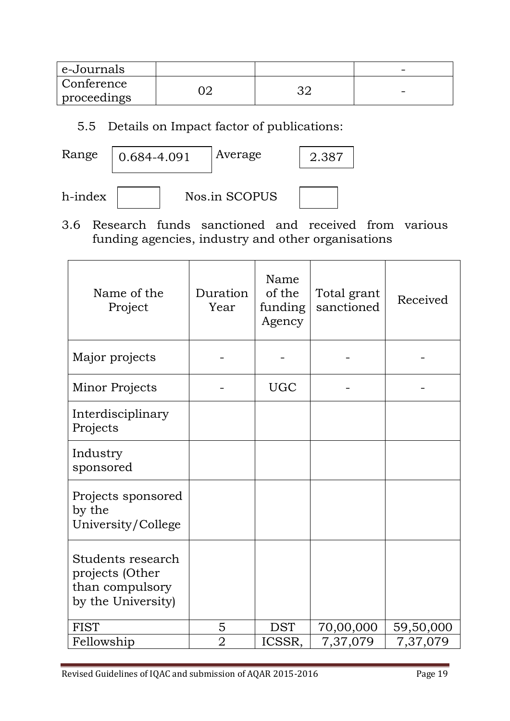| e-Journals  |  | - |
|-------------|--|---|
| Conference  |  |   |
| proceedings |  | - |

# 5.5 Details on Impact factor of publications:

| Range<br>Average<br>$ 0.684 - 4.091$<br>2.387 |
|-----------------------------------------------|
|-----------------------------------------------|

| h-index |  |
|---------|--|
|         |  |



3.6 Research funds sanctioned and received from various funding agencies, industry and other organisations

| Name of the<br>Project                                                        | Duration<br>Year | Name<br>of the<br>funding<br>Agency | Total grant<br>sanctioned | Received  |
|-------------------------------------------------------------------------------|------------------|-------------------------------------|---------------------------|-----------|
| Major projects                                                                |                  |                                     |                           |           |
| Minor Projects                                                                |                  | <b>UGC</b>                          |                           |           |
| Interdisciplinary<br>Projects                                                 |                  |                                     |                           |           |
| Industry<br>sponsored                                                         |                  |                                     |                           |           |
| Projects sponsored<br>by the<br>University/College                            |                  |                                     |                           |           |
| Students research<br>projects (Other<br>than compulsory<br>by the University) |                  |                                     |                           |           |
| <b>FIST</b>                                                                   | 5                | <b>DST</b>                          | 70,00,000                 | 59,50,000 |
| Fellowship                                                                    | $\overline{2}$   | ICSSR,                              | 7,37,079                  | 7,37,079  |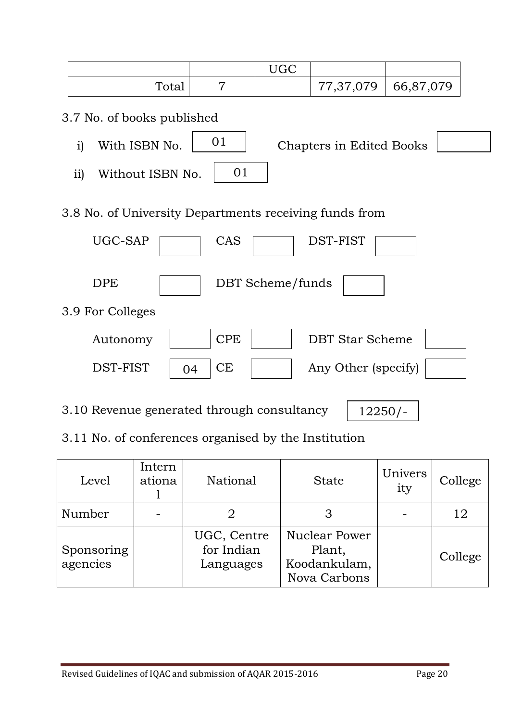|                                                        |                 | <b>UGC</b>       |                          |           |
|--------------------------------------------------------|-----------------|------------------|--------------------------|-----------|
| Total                                                  | $\overline{7}$  |                  | 77, 37, 079              | 66,87,079 |
| 3.7 No. of books published                             |                 |                  |                          |           |
| With ISBN No.<br>i)                                    | 01              |                  | Chapters in Edited Books |           |
| ii)<br>Without ISBN No.                                | 01              |                  |                          |           |
| 3.8 No. of University Departments receiving funds from |                 |                  |                          |           |
| UGC-SAP                                                | CAS             |                  | DST-FIST                 |           |
| <b>DPE</b>                                             |                 | DBT Scheme/funds |                          |           |
| 3.9 For Colleges                                       |                 |                  |                          |           |
| Autonomy                                               | <b>CPE</b>      |                  | <b>DBT</b> Star Scheme   |           |
| DST-FIST                                               | <b>CE</b><br>04 |                  | Any Other (specify)      |           |
|                                                        |                 |                  |                          |           |

3.10 Revenue generated through consultancy

 $12250/-$ 

# 3.11 No. of conferences organised by the Institution

| Level                  | Intern<br>ationa | National                               | <b>State</b>                                                   | Univers<br>ity | College |
|------------------------|------------------|----------------------------------------|----------------------------------------------------------------|----------------|---------|
| Number                 |                  |                                        | З                                                              |                | 12      |
| Sponsoring<br>agencies |                  | UGC, Centre<br>for Indian<br>Languages | <b>Nuclear Power</b><br>Plant,<br>Koodankulam,<br>Nova Carbons |                | College |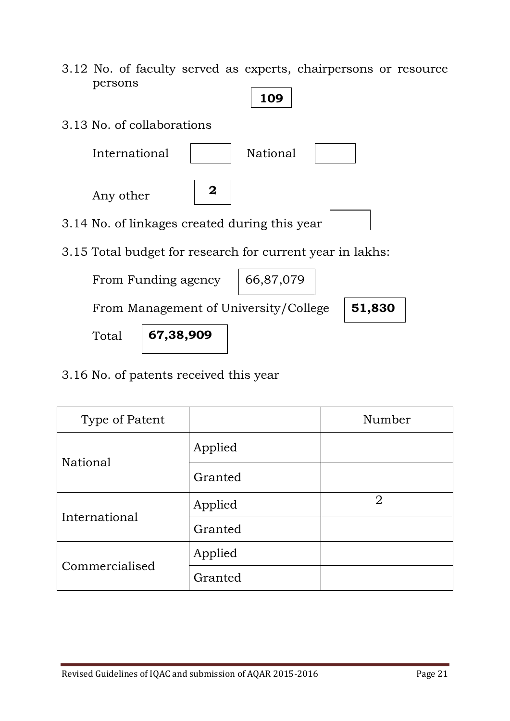- 3.12 No. of faculty served as experts, chairpersons or resource persons
- 3.13 No. of collaborations International | National Any other 3.14 No. of linkages created during this year 3.15 Total budget for research for current year in lakhs: From Funding agency From Management of University/College Total **109 2** 66,87,079 **67,38,909 51,830**
- 3.16 No. of patents received this year

| Type of Patent |         | Number         |
|----------------|---------|----------------|
|                | Applied |                |
| National       | Granted |                |
| International  | Applied | $\overline{2}$ |
|                | Granted |                |
| Commercialised | Applied |                |
|                | Granted |                |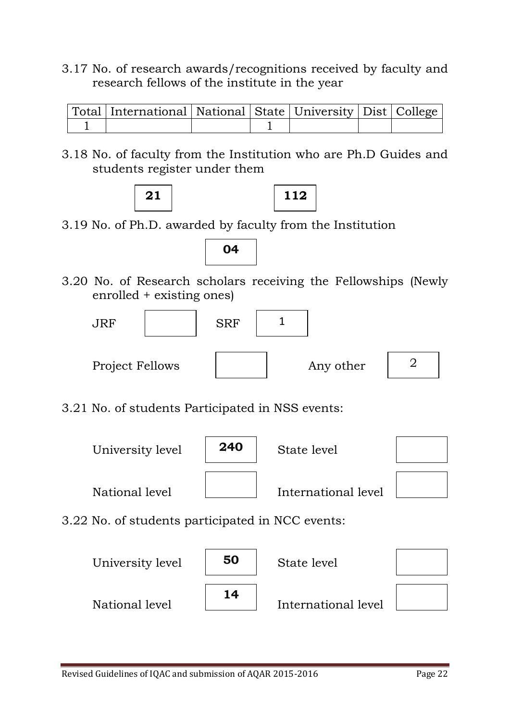3.17 No. of research awards/recognitions received by faculty and research fellows of the institute in the year

| Total   International   National   State   University   Dist   College |  |  |  |
|------------------------------------------------------------------------|--|--|--|
|                                                                        |  |  |  |

3.18 No. of faculty from the Institution who are Ph.D Guides and students register under them



3.19 No. of Ph.D. awarded by faculty from the Institution

**04**

3.20 No. of Research scholars receiving the Fellowships (Newly enrolled + existing ones)



3.21 No. of students Participated in NSS events:



3.22 No. of students participated in NCC events:

| University level | 50 | State level         |  |
|------------------|----|---------------------|--|
| National level   | 14 | International level |  |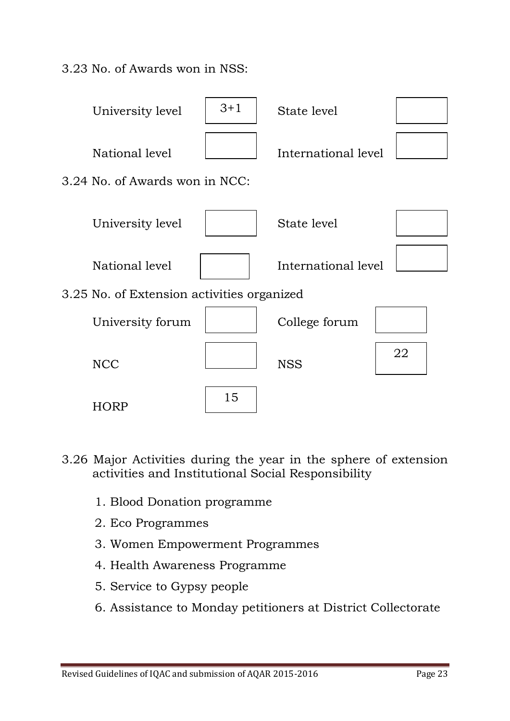3.23 No. of Awards won in NSS:



- 3.26 Major Activities during the year in the sphere of extension activities and Institutional Social Responsibility
	- 1. Blood Donation programme
	- 2. Eco Programmes
	- 3. Women Empowerment Programmes
	- 4. Health Awareness Programme
	- 5. Service to Gypsy people
	- 6. Assistance to Monday petitioners at District Collectorate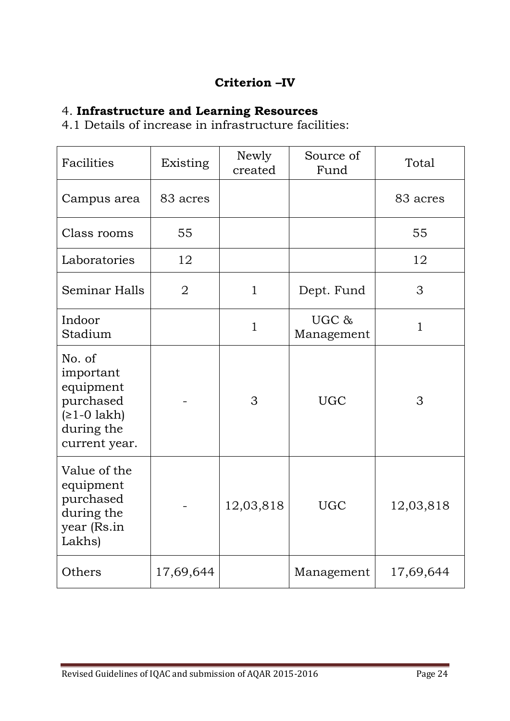# **Criterion –IV**

# 4. **Infrastructure and Learning Resources**

4.1 Details of increase in infrastructure facilities:

| Facilities                                                                                    | Existing       | Newly<br>created | Source of<br>Fund   | Total        |
|-----------------------------------------------------------------------------------------------|----------------|------------------|---------------------|--------------|
| Campus area                                                                                   | 83 acres       |                  |                     | 83 acres     |
| Class rooms                                                                                   | 55             |                  |                     | 55           |
| Laboratories                                                                                  | 12             |                  |                     | 12           |
| Seminar Halls                                                                                 | $\overline{2}$ | $\mathbf{1}$     | Dept. Fund          | 3            |
| Indoor<br>Stadium                                                                             |                | $\mathbf{1}$     | UGC &<br>Management | $\mathbf{1}$ |
| No. of<br>important<br>equipment<br>purchased<br>$(≥1-0$ lakh)<br>during the<br>current year. |                | 3                | <b>UGC</b>          | 3            |
| Value of the<br>equipment<br>purchased<br>during the<br>year (Rs.in<br>Lakhs)                 |                | 12,03,818        | <b>UGC</b>          | 12,03,818    |
| Others                                                                                        | 17,69,644      |                  | Management          | 17,69,644    |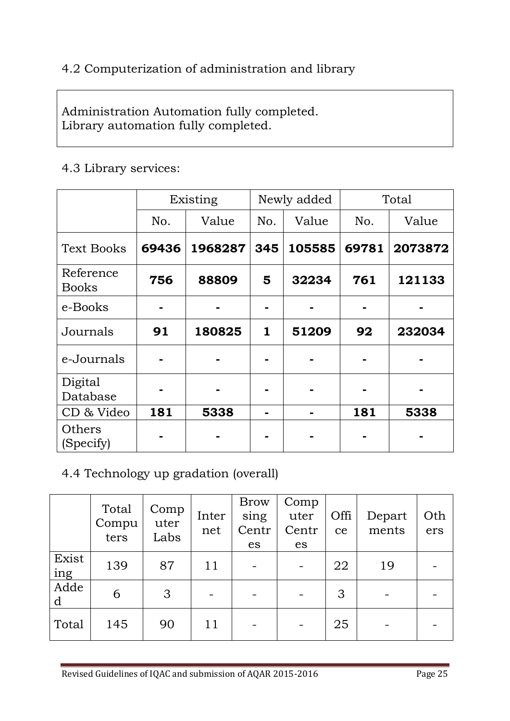# 4.2 Computerization of administration and library

Administration Automation fully completed. Library automation fully completed.

#### 4.3 Library services:

|                           | Existing |         | Newly added  |        | Total |         |
|---------------------------|----------|---------|--------------|--------|-------|---------|
|                           | No.      | Value   | No.          | Value  | No.   | Value   |
| <b>Text Books</b>         | 69436    | 1968287 | 345          | 105585 | 69781 | 2073872 |
| Reference<br><b>Books</b> | 756      | 88809   | 5            | 32234  | 761   | 121133  |
| e-Books                   |          |         |              |        |       |         |
| Journals                  | 91       | 180825  | $\mathbf{1}$ | 51209  | 92    | 232034  |
| e-Journals                |          |         |              |        |       |         |
| Digital<br>Database       |          |         |              |        |       |         |
| CD & Video                | 181      | 5338    |              |        | 181   | 5338    |
| Others<br>(Specify)       |          |         |              |        |       |         |

#### 4.4 Technology up gradation (overall)

|              | Total<br>Compu<br>ters | Comp<br>uter<br>Labs | Inter<br>net | <b>Brow</b><br>sing<br>Centr<br>es | Comp<br>uter<br>Centr<br>es | Offi<br>ce | Depart<br>ments | Oth<br>ers |
|--------------|------------------------|----------------------|--------------|------------------------------------|-----------------------------|------------|-----------------|------------|
| Exist<br>ing | 139                    | 87                   | 11           |                                    | $\qquad \qquad -$           | 22         | 19              |            |
| Adde<br>d    | 6                      | 3                    |              |                                    | $\overline{\phantom{a}}$    | 3          | -               |            |
| Total        | 145                    | 90                   | 11           |                                    | $\qquad \qquad -$           | 25         |                 |            |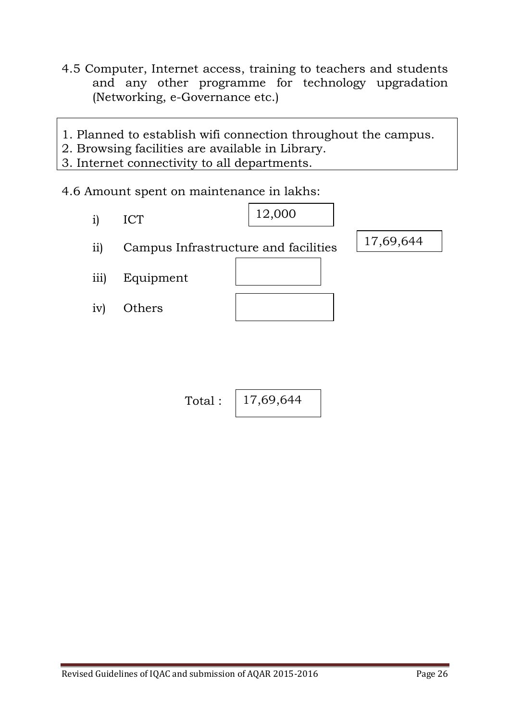- 4.5 Computer, Internet access, training to teachers and students and any other programme for technology upgradation (Networking, e-Governance etc.)
- 1. Planned to establish wifi connection throughout the campus.
- 2. Browsing facilities are available in Library.
- 3. Internet connectivity to all departments.

#### 4.6 Amount spent on maintenance in lakhs:

i) ICT ii) Campus Infrastructure and facilities iii) Equipment iv) Others 12,000 17,69,644

> Total : 17,69,644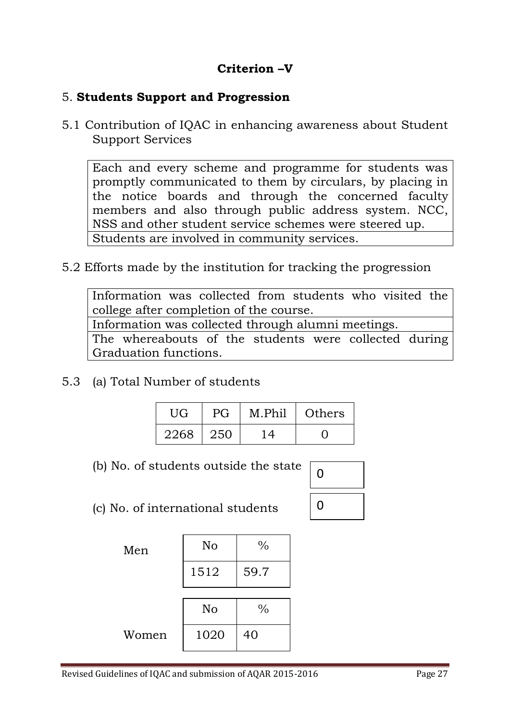# **Criterion –V**

#### 5. **Students Support and Progression**

5.1 Contribution of IQAC in enhancing awareness about Student Support Services

Each and every scheme and programme for students was promptly communicated to them by circulars, by placing in the notice boards and through the concerned faculty members and also through public address system. NCC, NSS and other student service schemes were steered up. Students are involved in community services.

5.2 Efforts made by the institution for tracking the progression

Information was collected from students who visited the college after completion of the course. Information was collected through alumni meetings.

The whereabouts of the students were collected during Graduation functions.

5.3 (a) Total Number of students

| UG   | PG  | M.Phil | Others |
|------|-----|--------|--------|
| 2268 | 250 |        |        |

(b) No. of students outside the state

| 0 |  |
|---|--|
| 0 |  |

(c) No. of international students

| Men   | No   | $\frac{0}{0}$ |  |
|-------|------|---------------|--|
|       | 1512 | 59.7          |  |
|       |      |               |  |
|       | No   | $\frac{0}{0}$ |  |
| Women | 1020 | 40            |  |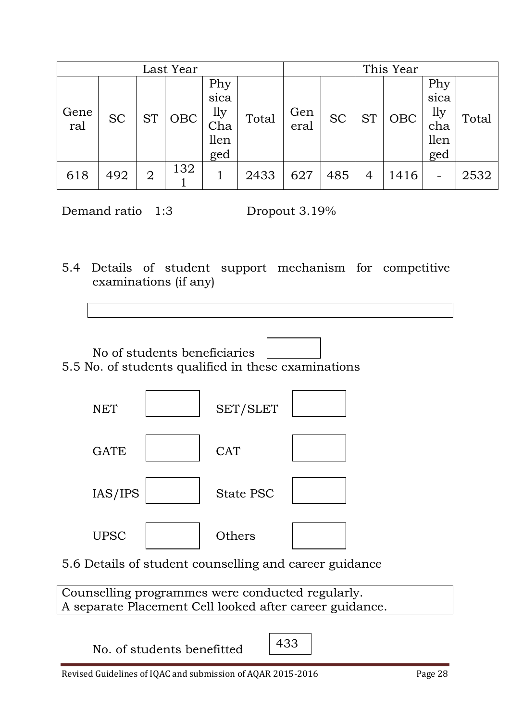| Last Year   |           |                |     |                                          |       |             |           |                | This Year  |                                          |       |
|-------------|-----------|----------------|-----|------------------------------------------|-------|-------------|-----------|----------------|------------|------------------------------------------|-------|
| Gene<br>ral | <b>SC</b> | <b>ST</b>      | OBC | Phy<br>sica<br>1ly<br>Cha<br>llen<br>ged | Total | Gen<br>eral | <b>SC</b> | <b>ST</b>      | <b>OBC</b> | Phy<br>sica<br>1ly<br>cha<br>llen<br>ged | Total |
| 618         | 492       | $\overline{2}$ | 132 |                                          | 2433  | 627         | 485       | $\overline{4}$ | 1416       |                                          | 2532  |

Demand ratio 1:3 Dropout 3.19%

5.4 Details of student support mechanism for competitive examinations (if any)



5.5 No. of students qualified in these examinations



5.6 Details of student counselling and career guidance

Counselling programmes were conducted regularly. A separate Placement Cell looked after career guidance.

No. of students benefitted  $\left| \right.433$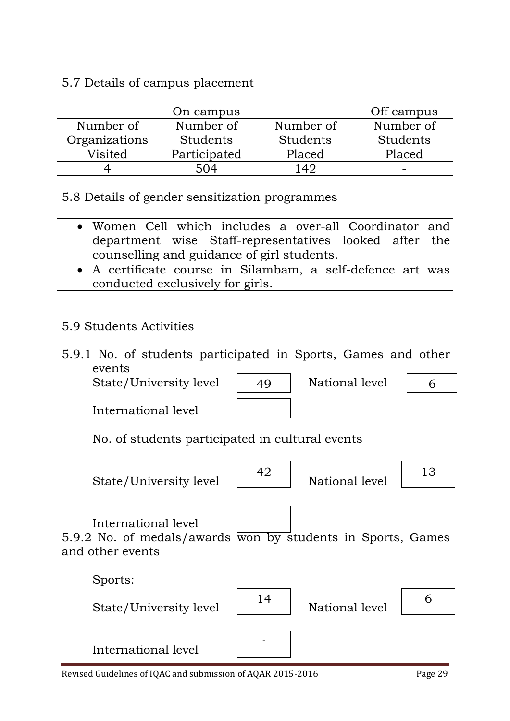#### 5.7 Details of campus placement

|               | Off campus   |            |           |
|---------------|--------------|------------|-----------|
| Number of     | Number of    | Number of  | Number of |
| Organizations | Students     | Students   | Students  |
| Visited       | Participated | Placed     | Placed    |
|               | 504          | $\Delta O$ | -         |

5.8 Details of gender sensitization programmes

- Women Cell which includes a over-all Coordinator and department wise Staff-representatives looked after the counselling and guidance of girl students.
- A certificate course in Silambam, a self-defence art was conducted exclusively for girls.

# 5.9 Students Activities

5.9.1 No. of students participated in Sports, Games and other events

State/University level | 49 | National level

International level

| 49 | National le |
|----|-------------|
|    |             |

6

No. of students participated in cultural events

State/University level  $\begin{vmatrix} 42 \end{vmatrix}$ 



National level  $\begin{vmatrix} 13 \end{vmatrix}$ 



International level 5.9.2 No. of medals/awards won by students in Sports, Games and other events

Sports: State/University level  $\begin{vmatrix} 14 \end{vmatrix}$ 



National level  $\begin{bmatrix} 6 \end{bmatrix}$ 

International level

Revised Guidelines of IQAC and submission of AQAR 2015-2016 Page 29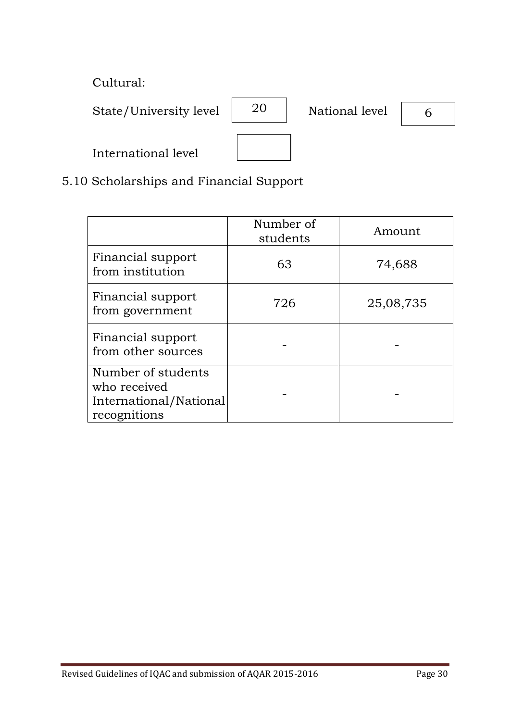Cultural:

State/University level  $\begin{vmatrix} 20 & | \end{vmatrix}$  National level

20

6

International level

# 5.10 Scholarships and Financial Support

|                                                                              | Number of<br>students | Amount    |
|------------------------------------------------------------------------------|-----------------------|-----------|
| Financial support<br>from institution                                        | 63                    | 74,688    |
| Financial support<br>from government                                         | 726                   | 25,08,735 |
| Financial support<br>from other sources                                      |                       |           |
| Number of students<br>who received<br>International/National<br>recognitions |                       |           |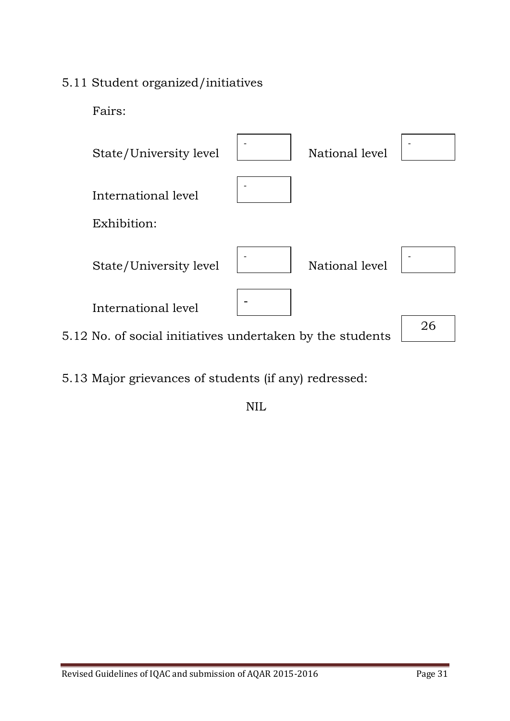# 5.11 Student organized/initiatives

Fairs:



5.13 Major grievances of students (if any) redressed:

NIL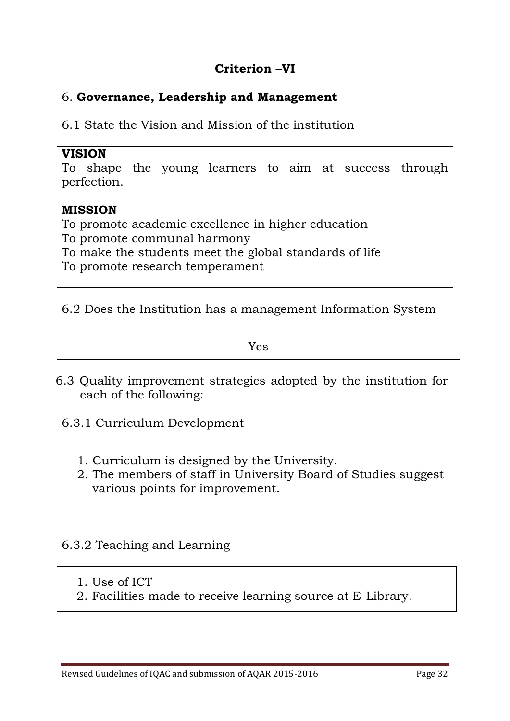# **Criterion –VI**

#### 6. **Governance, Leadership and Management**

6.1 State the Vision and Mission of the institution

#### **VISION**

To shape the young learners to aim at success through perfection.

#### **MISSION**

To promote academic excellence in higher education To promote communal harmony To make the students meet the global standards of life To promote research temperament

#### 6.2 Does the Institution has a management Information System

Yes

- 6.3 Quality improvement strategies adopted by the institution for each of the following:
	- 6.3.1 Curriculum Development
		- 1. Curriculum is designed by the University.
		- 2. The members of staff in University Board of Studies suggest various points for improvement.

#### 6.3.2 Teaching and Learning

- 1. Use of ICT
- 2. Facilities made to receive learning source at E-Library.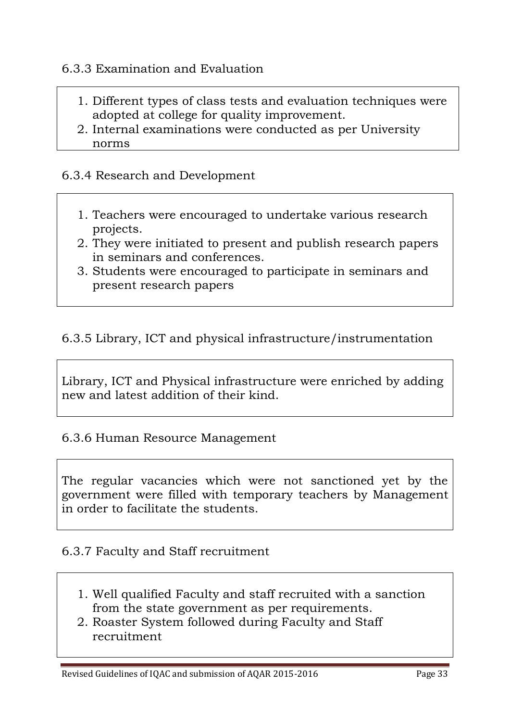#### 6.3.3 Examination and Evaluation

- 1. Different types of class tests and evaluation techniques were adopted at college for quality improvement.
- 2. Internal examinations were conducted as per University norms

#### 6.3.4 Research and Development

- 1. Teachers were encouraged to undertake various research projects.
- 2. They were initiated to present and publish research papers in seminars and conferences.
- 3. Students were encouraged to participate in seminars and present research papers

# 6.3.5 Library, ICT and physical infrastructure/instrumentation

Library, ICT and Physical infrastructure were enriched by adding new and latest addition of their kind.

#### 6.3.6 Human Resource Management

The regular vacancies which were not sanctioned yet by the government were filled with temporary teachers by Management in order to facilitate the students.

#### 6.3.7 Faculty and Staff recruitment

- 1. Well qualified Faculty and staff recruited with a sanction from the state government as per requirements.
- 2. Roaster System followed during Faculty and Staff recruitment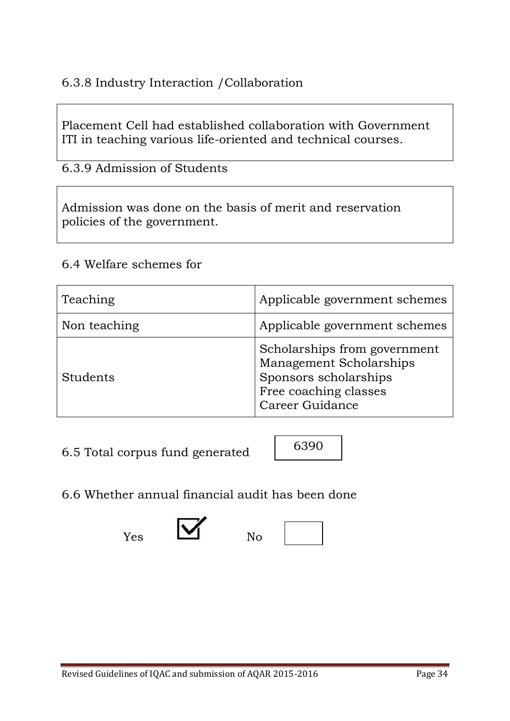# 6.3.8 Industry Interaction /Collaboration

Placement Cell had established collaboration with Government ITI in teaching various life-oriented and technical courses.

6.3.9 Admission of Students

Admission was done on the basis of merit and reservation policies of the government.

#### 6.4 Welfare schemes for

| Teaching     | Applicable government schemes                                                                                                |  |
|--------------|------------------------------------------------------------------------------------------------------------------------------|--|
| Non teaching | Applicable government schemes                                                                                                |  |
| Students     | Scholarships from government<br>Management Scholarships<br>Sponsors scholarships<br>Free coaching classes<br>Career Guidance |  |

6.5 Total corpus fund generated

# 6.6 Whether annual financial audit has been done

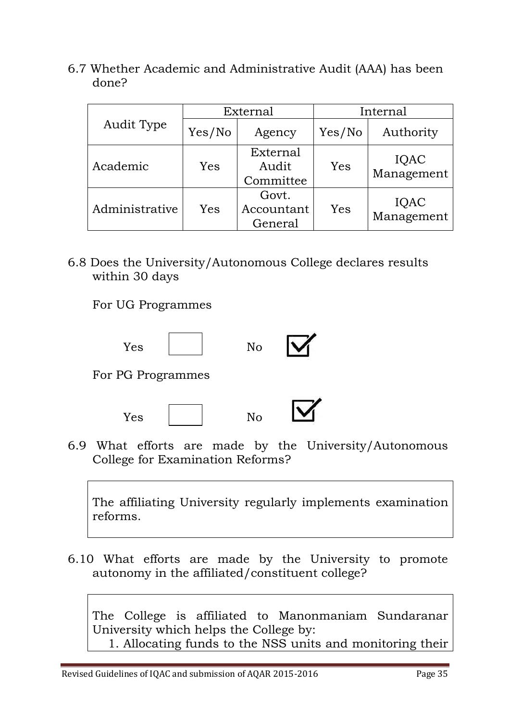6.7 Whether Academic and Administrative Audit (AAA) has been done?

|                |        | External                       |        | Internal           |  |
|----------------|--------|--------------------------------|--------|--------------------|--|
| Audit Type     | Yes/No | Agency                         | Yes/No | Authority          |  |
| Academic       | Yes    | External<br>Audit<br>Committee | Yes    | IQAC<br>Management |  |
| Administrative | Yes    | Govt.<br>Accountant<br>General | Yes    | IQAC<br>Management |  |

6.8 Does the University/Autonomous College declares results within 30 days

For UG Programmes





6.9 What efforts are made by the University/Autonomous College for Examination Reforms?

The affiliating University regularly implements examination reforms.

6.10 What efforts are made by the University to promote autonomy in the affiliated/constituent college?

The College is affiliated to Manonmaniam Sundaranar University which helps the College by: 1. Allocating funds to the NSS units and monitoring their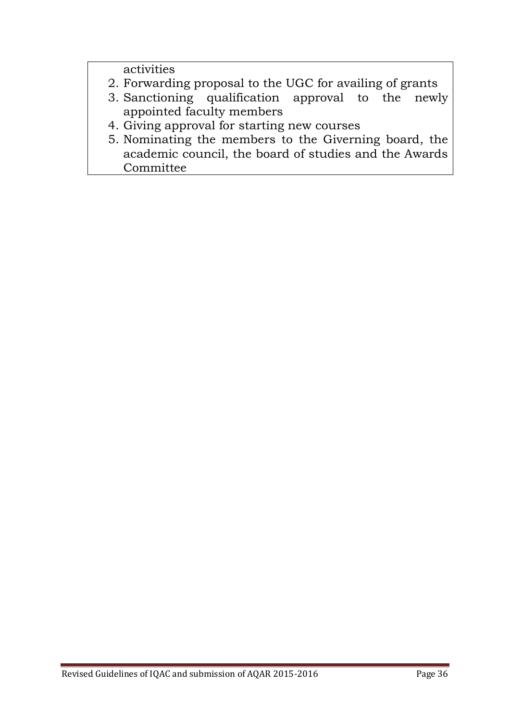activities

- 2. Forwarding proposal to the UGC for availing of grants
- 3. Sanctioning qualification approval to the newly appointed faculty members
- 4. Giving approval for starting new courses
- 5. Nominating the members to the Giverning board, the academic council, the board of studies and the Awards Committee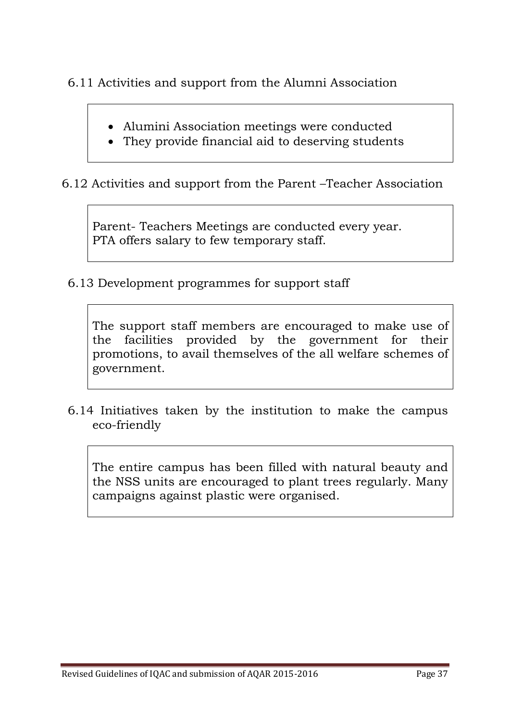6.11 Activities and support from the Alumni Association

- Alumini Association meetings were conducted
- They provide financial aid to deserving students

6.12 Activities and support from the Parent –Teacher Association

Parent- Teachers Meetings are conducted every year. PTA offers salary to few temporary staff.

6.13 Development programmes for support staff

The support staff members are encouraged to make use of the facilities provided by the government for their promotions, to avail themselves of the all welfare schemes of government.

6.14 Initiatives taken by the institution to make the campus eco-friendly

The entire campus has been filled with natural beauty and the NSS units are encouraged to plant trees regularly. Many campaigns against plastic were organised.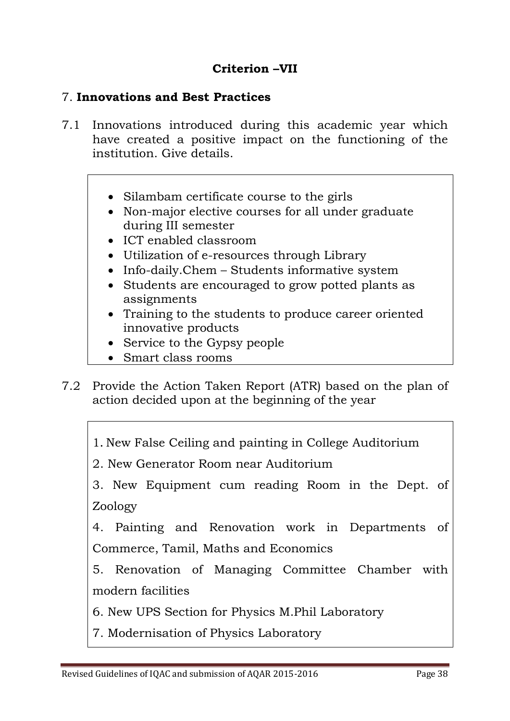# **Criterion –VII**

# 7. **Innovations and Best Practices**

- 7.1 Innovations introduced during this academic year which have created a positive impact on the functioning of the institution. Give details.
	- Silambam certificate course to the girls
	- Non-major elective courses for all under graduate during III semester
	- ICT enabled classroom
	- Utilization of e-resources through Library
	- Info-daily.Chem Students informative system
	- Students are encouraged to grow potted plants as assignments
	- Training to the students to produce career oriented innovative products
	- Service to the Gypsy people
	- Smart class rooms
- 7.2 Provide the Action Taken Report (ATR) based on the plan of action decided upon at the beginning of the year
	- 1. New False Ceiling and painting in College Auditorium
	- 2. New Generator Room near Auditorium
	- 3. New Equipment cum reading Room in the Dept. of Zoology
	- 4. Painting and Renovation work in Departments of Commerce, Tamil, Maths and Economics
	- 5. Renovation of Managing Committee Chamber with modern facilities
	- 6. New UPS Section for Physics M.Phil Laboratory
	- 7. Modernisation of Physics Laboratory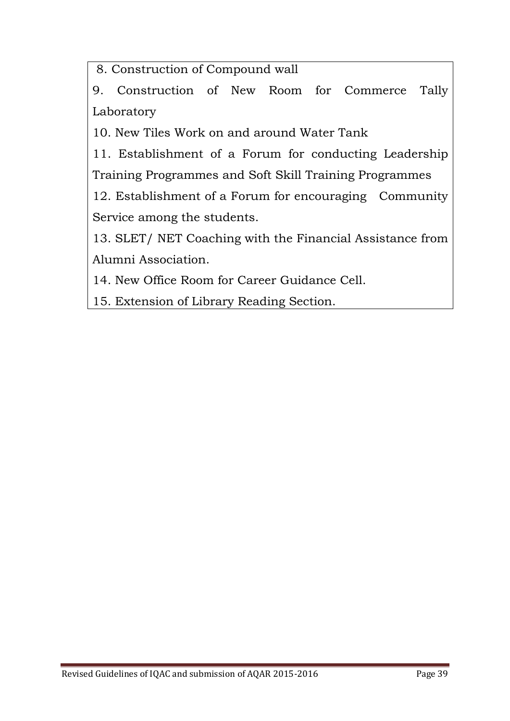8. Construction of Compound wall

9. Construction of New Room for Commerce Tally Laboratory

10. New Tiles Work on and around Water Tank

11. Establishment of a Forum for conducting Leadership Training Programmes and Soft Skill Training Programmes

12. Establishment of a Forum for encouraging Community Service among the students.

13. SLET/ NET Coaching with the Financial Assistance from Alumni Association.

14. New Office Room for Career Guidance Cell.

15. Extension of Library Reading Section.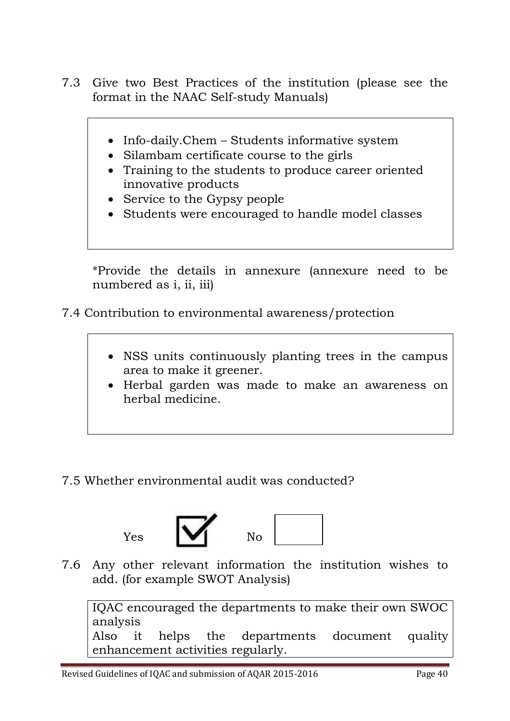- 7.3 Give two Best Practices of the institution (please see the format in the NAAC Self-study Manuals)
	- Info-daily.Chem Students informative system
	- Silambam certificate course to the girls
	- Training to the students to produce career oriented innovative products
	- Service to the Gypsy people
	- Students were encouraged to handle model classes

\*Provide the details in annexure (annexure need to be numbered as i, ii, iii)

- 7.4 Contribution to environmental awareness/protection
	- NSS units continuously planting trees in the campus area to make it greener.
	- Herbal garden was made to make an awareness on herbal medicine.
- 7.5 Whether environmental audit was conducted?





7.6 Any other relevant information the institution wishes to add. (for example SWOT Analysis)

IQAC encouraged the departments to make their own SWOC analysis Also it helps the departments document quality enhancement activities regularly.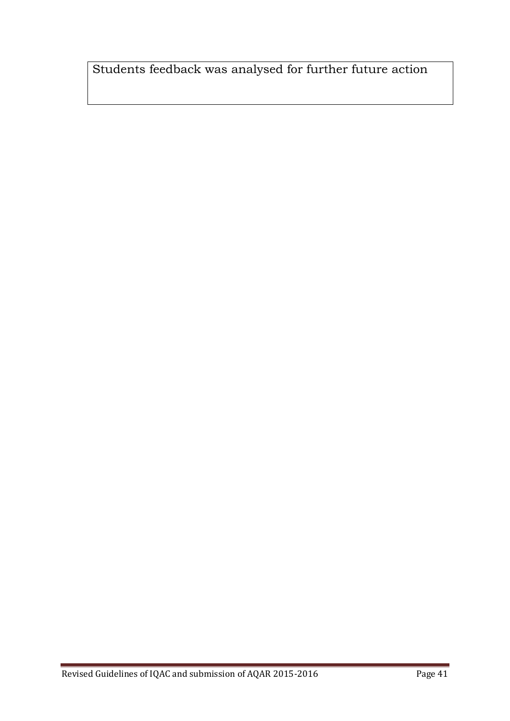Students feedback was analysed for further future action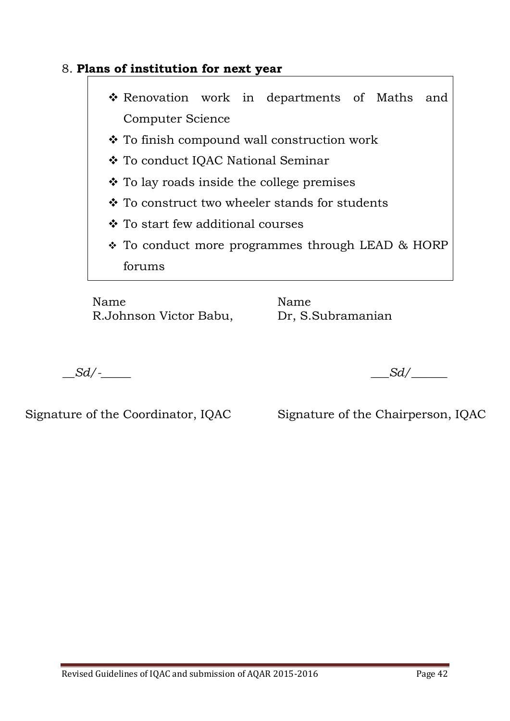# 8. **Plans of institution for next year**

- \* Renovation work in departments of Maths and Computer Science
- To finish compound wall construction work
- To conduct IQAC National Seminar
- To lay roads inside the college premises
- To construct two wheeler stands for students
- To start few additional courses
- \* To conduct more programmes through LEAD & HORP forums

Name Name R.Johnson Victor Babu, Dr, S.Subramanian

*\_\_Sd/-\_\_\_\_\_ \_\_\_Sd/\_\_\_\_\_\_*

Signature of the Coordinator, IQAC Signature of the Chairperson, IQAC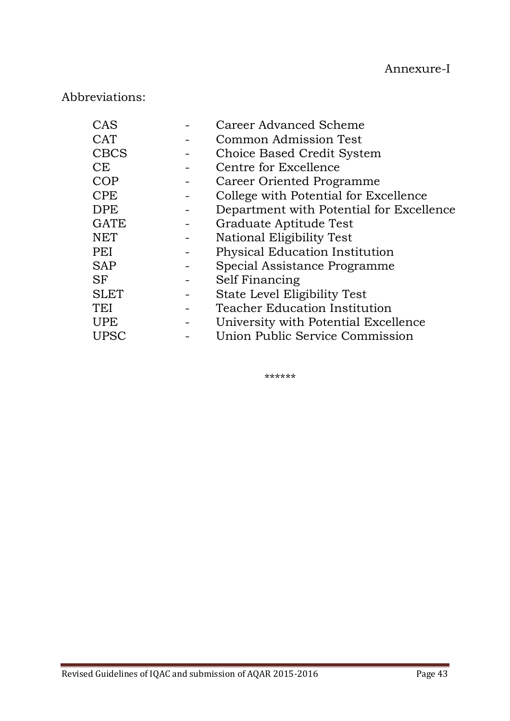# Abbreviations:

| CAS         | <b>Career Advanced Scheme</b>            |
|-------------|------------------------------------------|
| <b>CAT</b>  | Common Admission Test                    |
| <b>CBCS</b> | Choice Based Credit System               |
| <b>CE</b>   | Centre for Excellence                    |
| <b>COP</b>  | Career Oriented Programme                |
| <b>CPE</b>  | College with Potential for Excellence    |
| <b>DPE</b>  | Department with Potential for Excellence |
| <b>GATE</b> | Graduate Aptitude Test                   |
| <b>NET</b>  | National Eligibility Test                |
| PEI         | <b>Physical Education Institution</b>    |
| <b>SAP</b>  | Special Assistance Programme             |
| <b>SF</b>   | Self Financing                           |
| <b>SLET</b> | State Level Eligibility Test             |
| TEI         | <b>Teacher Education Institution</b>     |
| <b>UPE</b>  | University with Potential Excellence     |
| <b>UPSC</b> | Union Public Service Commission          |

\*\*\*\*\*\*